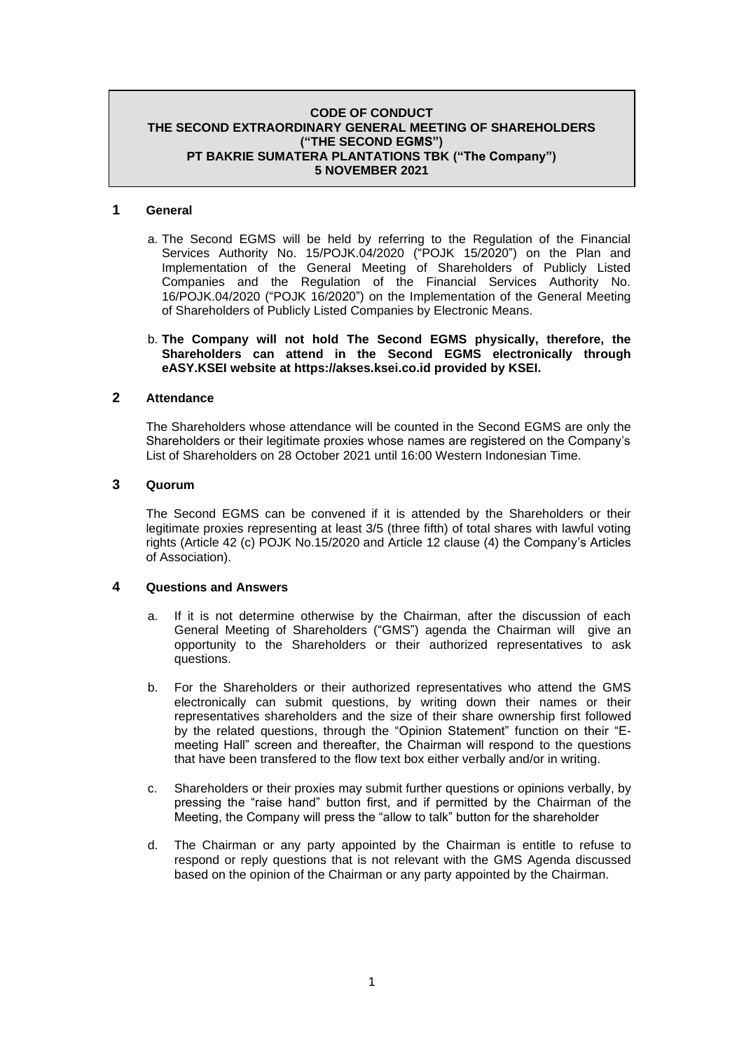#### **CODE OF CONDUCT THE SECOND EXTRAORDINARY GENERAL MEETING OF SHAREHOLDERS ("THE SECOND EGMS") PT BAKRIE SUMATERA PLANTATIONS TBK ("The Company") 5 NOVEMBER 2021**

### **1 General**

a. The Second EGMS will be held by referring to the Regulation of the Financial Services Authority No. 15/POJK.04/2020 ("POJK 15/2020") on the Plan and Implementation of the General Meeting of Shareholders of Publicly Listed Companies and the Regulation of the Financial Services Authority No. 16/POJK.04/2020 ("POJK 16/2020") on the Implementation of the General Meeting of Shareholders of Publicly Listed Companies by Electronic Means.

#### b. **The Company will not hold The Second EGMS physically, therefore, the Shareholders can attend in the Second EGMS electronically through eASY.KSEI website at https://akses.ksei.co.id provided by KSEI.**

#### **2 Attendance**

The Shareholders whose attendance will be counted in the Second EGMS are only the Shareholders or their legitimate proxies whose names are registered on the Company's List of Shareholders on 28 October 2021 until 16:00 Western Indonesian Time.

### **3 Quorum**

The Second EGMS can be convened if it is attended by the Shareholders or their legitimate proxies representing at least 3/5 (three fifth) of total shares with lawful voting rights (Article 42 (c) POJK No.15/2020 and Article 12 clause (4) the Company's Articles of Association).

### **4 Questions and Answers**

- a. If it is not determine otherwise by the Chairman, after the discussion of each General Meeting of Shareholders ("GMS") agenda the Chairman will give an opportunity to the Shareholders or their authorized representatives to ask questions.
- b. For the Shareholders or their authorized representatives who attend the GMS electronically can submit questions, by writing down their names or their representatives shareholders and the size of their share ownership first followed by the related questions, through the "Opinion Statement" function on their "Emeeting Hall" screen and thereafter, the Chairman will respond to the questions that have been transfered to the flow text box either verbally and/or in writing.
- c. Shareholders or their proxies may submit further questions or opinions verbally, by pressing the "raise hand" button first, and if permitted by the Chairman of the Meeting, the Company will press the "allow to talk" button for the shareholder
- d. The Chairman or any party appointed by the Chairman is entitle to refuse to respond or reply questions that is not relevant with the GMS Agenda discussed based on the opinion of the Chairman or any party appointed by the Chairman.